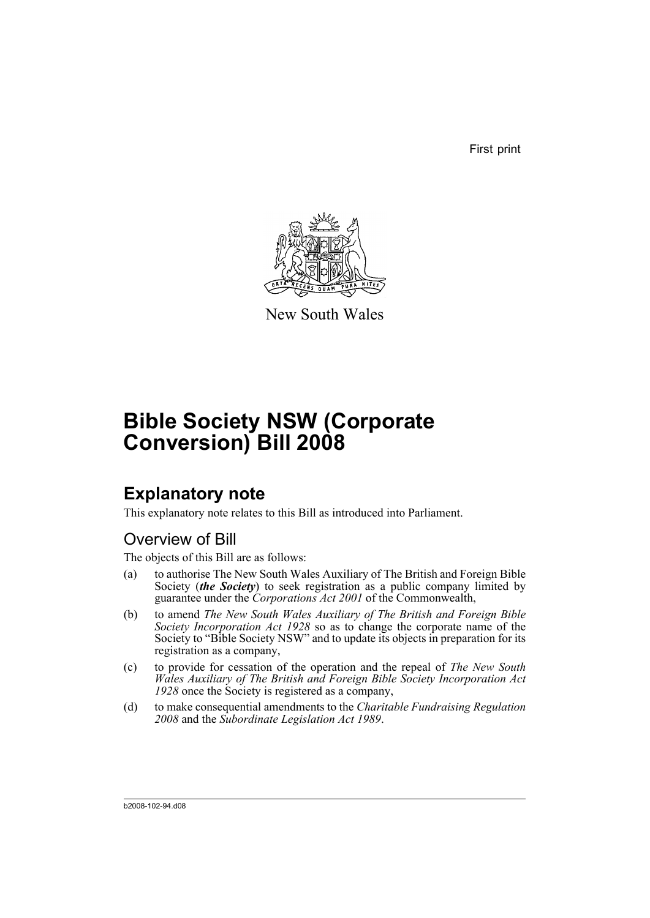First print



New South Wales

# **Bible Society NSW (Corporate Conversion) Bill 2008**

# **Explanatory note**

This explanatory note relates to this Bill as introduced into Parliament.

# Overview of Bill

The objects of this Bill are as follows:

- (a) to authorise The New South Wales Auxiliary of The British and Foreign Bible Society (*the Society*) to seek registration as a public company limited by guarantee under the *Corporations Act 2001* of the Commonwealth,
- (b) to amend *The New South Wales Auxiliary of The British and Foreign Bible Society Incorporation Act 1928* so as to change the corporate name of the Society to "Bible Society NSW" and to update its objects in preparation for its registration as a company,
- (c) to provide for cessation of the operation and the repeal of *The New South Wales Auxiliary of The British and Foreign Bible Society Incorporation Act 1928* once the Society is registered as a company,
- (d) to make consequential amendments to the *Charitable Fundraising Regulation 2008* and the *Subordinate Legislation Act 1989*.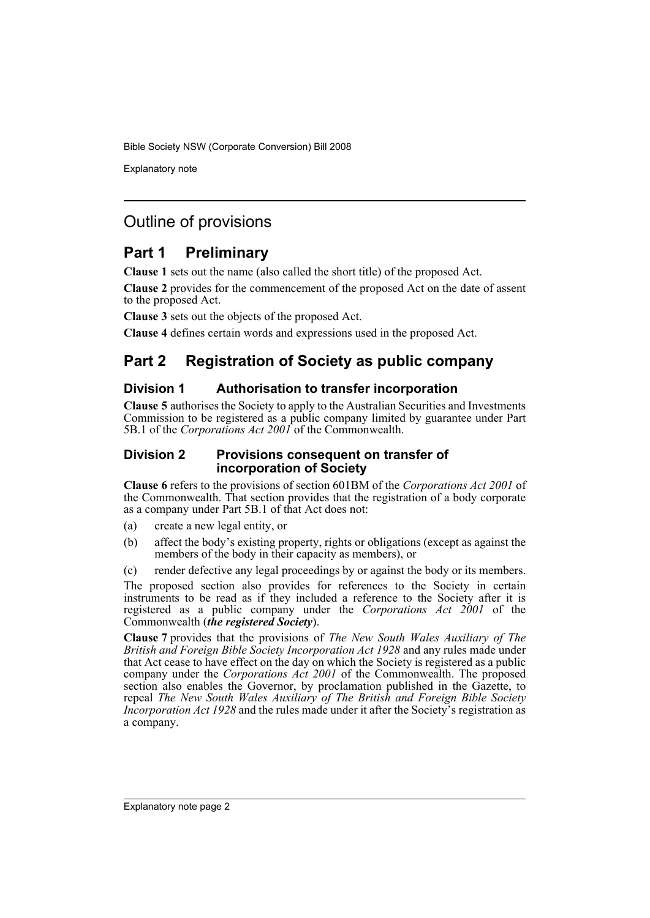Explanatory note

# Outline of provisions

# **Part 1 Preliminary**

**Clause 1** sets out the name (also called the short title) of the proposed Act.

**Clause 2** provides for the commencement of the proposed Act on the date of assent to the proposed Act.

**Clause 3** sets out the objects of the proposed Act.

**Clause 4** defines certain words and expressions used in the proposed Act.

# **Part 2 Registration of Society as public company**

# **Division 1 Authorisation to transfer incorporation**

**Clause 5** authorises the Society to apply to the Australian Securities and Investments Commission to be registered as a public company limited by guarantee under Part 5B.1 of the *Corporations Act 2001* of the Commonwealth.

### **Division 2 Provisions consequent on transfer of incorporation of Society**

**Clause 6** refers to the provisions of section 601BM of the *Corporations Act 2001* of the Commonwealth. That section provides that the registration of a body corporate as a company under Part 5B.1 of that Act does not:

- (a) create a new legal entity, or
- (b) affect the body's existing property, rights or obligations (except as against the members of the body in their capacity as members), or

(c) render defective any legal proceedings by or against the body or its members. The proposed section also provides for references to the Society in certain instruments to be read as if they included a reference to the Society after it is registered as a public company under the *Corporations Act 2001* of the Commonwealth (*the registered Society*).

**Clause 7** provides that the provisions of *The New South Wales Auxiliary of The British and Foreign Bible Society Incorporation Act 1928* and any rules made under that Act cease to have effect on the day on which the Society is registered as a public company under the *Corporations Act 2001* of the Commonwealth. The proposed section also enables the Governor, by proclamation published in the Gazette, to repeal *The New South Wales Auxiliary of The British and Foreign Bible Society Incorporation Act 1928* and the rules made under it after the Society's registration as a company.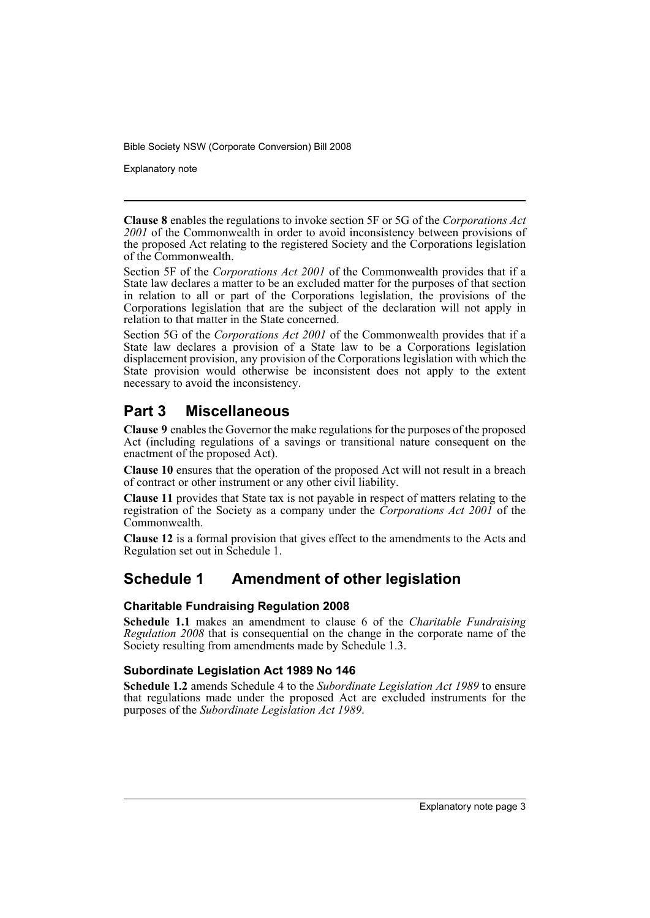Explanatory note

**Clause 8** enables the regulations to invoke section 5F or 5G of the *Corporations Act* 2001 of the Commonwealth in order to avoid inconsistency between provisions of the proposed Act relating to the registered Society and the Corporations legislation of the Commonwealth.

Section 5F of the *Corporations Act 2001* of the Commonwealth provides that if a State law declares a matter to be an excluded matter for the purposes of that section in relation to all or part of the Corporations legislation, the provisions of the Corporations legislation that are the subject of the declaration will not apply in relation to that matter in the State concerned.

Section 5G of the *Corporations Act 2001* of the Commonwealth provides that if a State law declares a provision of a State law to be a Corporations legislation displacement provision, any provision of the Corporations legislation with which the State provision would otherwise be inconsistent does not apply to the extent necessary to avoid the inconsistency.

# **Part 3 Miscellaneous**

**Clause 9** enables the Governor the make regulations for the purposes of the proposed Act (including regulations of a savings or transitional nature consequent on the enactment of the proposed Act).

**Clause 10** ensures that the operation of the proposed Act will not result in a breach of contract or other instrument or any other civil liability.

**Clause 11** provides that State tax is not payable in respect of matters relating to the registration of the Society as a company under the *Corporations Act 2001* of the Commonwealth.

**Clause 12** is a formal provision that gives effect to the amendments to the Acts and Regulation set out in Schedule 1.

# **Schedule 1 Amendment of other legislation**

## **Charitable Fundraising Regulation 2008**

**Schedule 1.1** makes an amendment to clause 6 of the *Charitable Fundraising Regulation 2008* that is consequential on the change in the corporate name of the Society resulting from amendments made by Schedule 1.3.

## **Subordinate Legislation Act 1989 No 146**

**Schedule 1.2** amends Schedule 4 to the *Subordinate Legislation Act 1989* to ensure that regulations made under the proposed Act are excluded instruments for the purposes of the *Subordinate Legislation Act 1989*.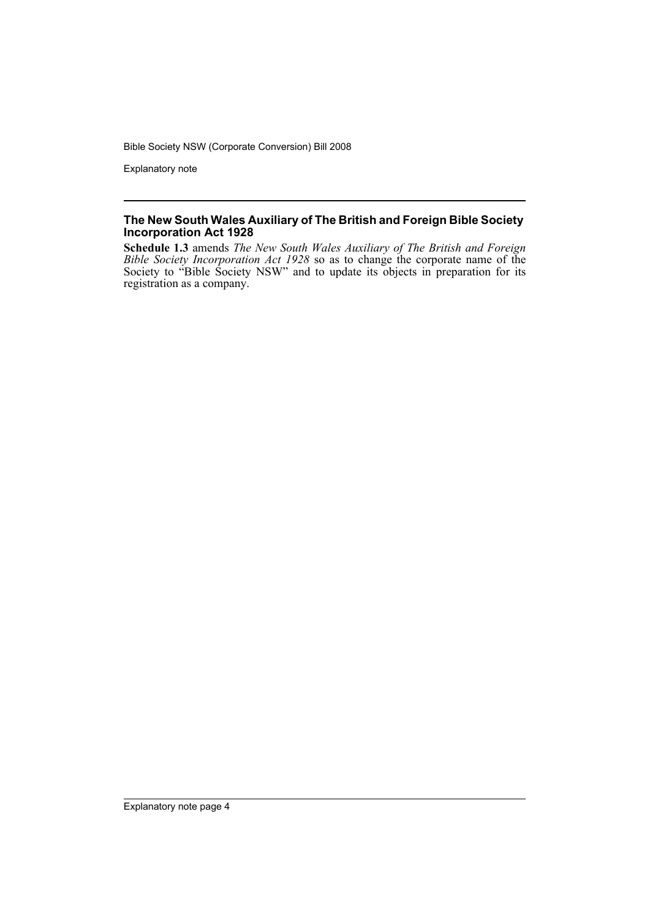Explanatory note

### **The New South Wales Auxiliary of The British and Foreign Bible Society Incorporation Act 1928**

**Schedule 1.3** amends *The New South Wales Auxiliary of The British and Foreign Bible Society Incorporation Act 1928* so as to change the corporate name of the Society to "Bible Society NSW" and to update its objects in preparation for its registration as a company.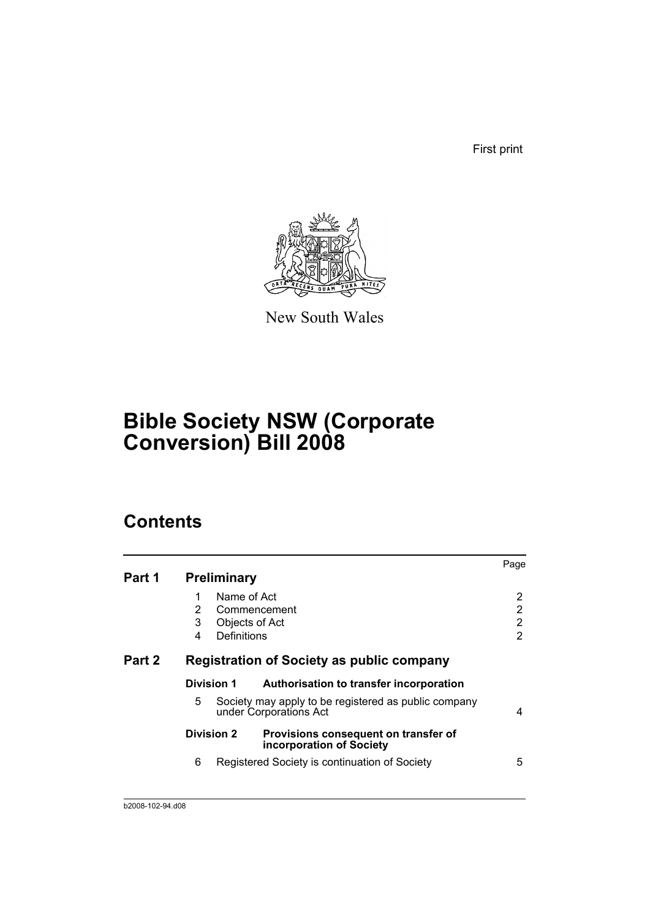First print



New South Wales

# **Bible Society NSW (Corporate Conversion) Bill 2008**

# **Contents**

|        |                                           |                                                                                | Page |
|--------|-------------------------------------------|--------------------------------------------------------------------------------|------|
| Part 1 | <b>Preliminary</b>                        |                                                                                |      |
|        | Name of Act<br>1                          |                                                                                | 2    |
|        | $\overline{2}$                            | Commencement                                                                   | 2    |
|        | 3<br>Objects of Act                       |                                                                                | 2    |
|        | Definitions<br>4                          |                                                                                | 2    |
| Part 2 | Registration of Society as public company |                                                                                |      |
|        | <b>Division 1</b>                         | Authorisation to transfer incorporation                                        |      |
|        | 5                                         | Society may apply to be registered as public company<br>under Corporations Act | 4    |
|        | <b>Division 2</b>                         | Provisions consequent on transfer of<br>incorporation of Society               |      |
|        | 6                                         | Registered Society is continuation of Society                                  | 5    |
|        |                                           |                                                                                |      |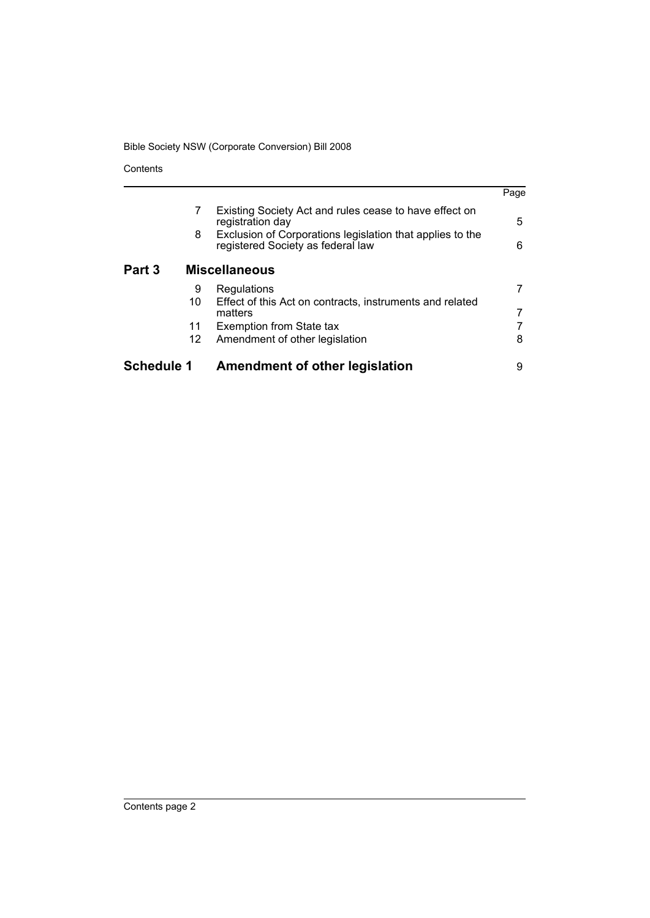Contents

|                   |        |                                                                                                                                                                              | Page   |
|-------------------|--------|------------------------------------------------------------------------------------------------------------------------------------------------------------------------------|--------|
|                   | 7<br>8 | Existing Society Act and rules cease to have effect on<br>registration day<br>Exclusion of Corporations legislation that applies to the<br>registered Society as federal law | 5<br>6 |
| Part 3            |        | <b>Miscellaneous</b>                                                                                                                                                         |        |
|                   | 9      | Regulations                                                                                                                                                                  |        |
|                   | 10     | Effect of this Act on contracts, instruments and related                                                                                                                     |        |
|                   |        | matters                                                                                                                                                                      |        |
|                   | 11     | Exemption from State tax                                                                                                                                                     |        |
|                   | 12     | Amendment of other legislation                                                                                                                                               | 8      |
| <b>Schedule 1</b> |        | Amendment of other legislation                                                                                                                                               | 9      |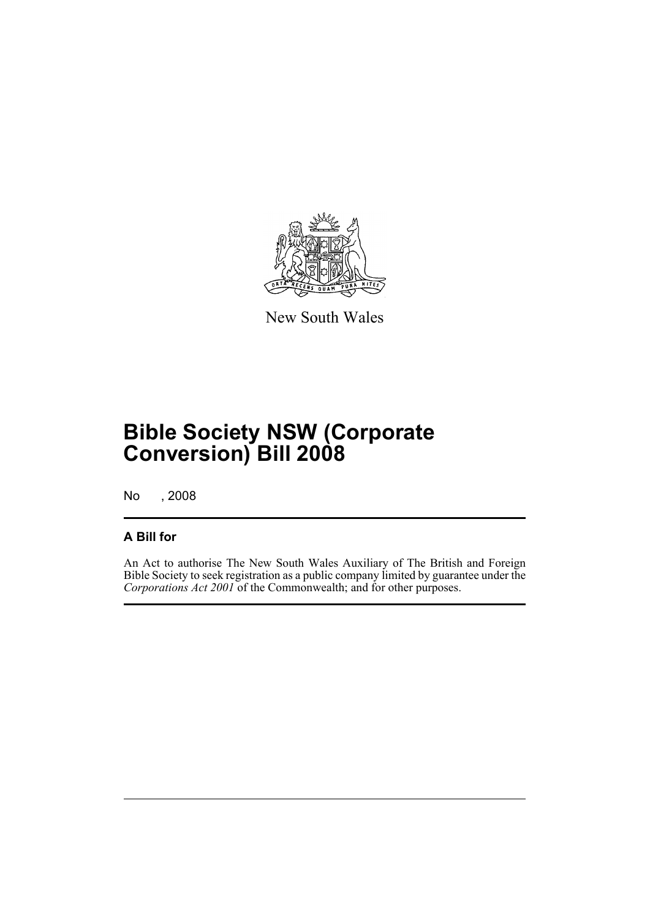

New South Wales

# **Bible Society NSW (Corporate Conversion) Bill 2008**

No , 2008

# **A Bill for**

An Act to authorise The New South Wales Auxiliary of The British and Foreign Bible Society to seek registration as a public company limited by guarantee under the *Corporations Act 2001* of the Commonwealth; and for other purposes.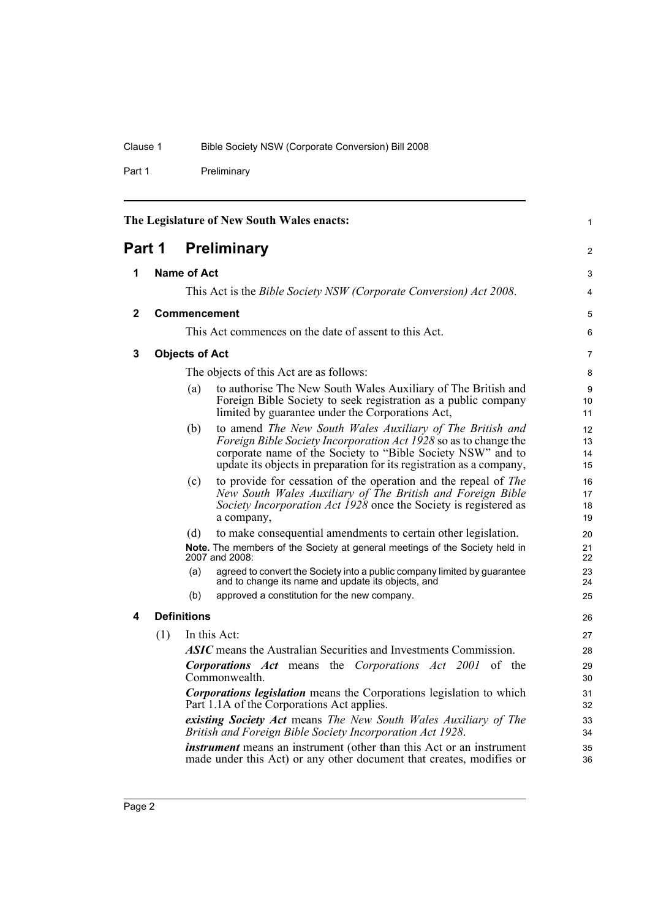Part 1 Preliminary

<span id="page-7-4"></span><span id="page-7-3"></span><span id="page-7-2"></span><span id="page-7-1"></span><span id="page-7-0"></span>

| The Legislature of New South Wales enacts: |     |                                                                                                                           |                                                                                                                                                                                                                                                                      | $\mathbf{1}$         |
|--------------------------------------------|-----|---------------------------------------------------------------------------------------------------------------------------|----------------------------------------------------------------------------------------------------------------------------------------------------------------------------------------------------------------------------------------------------------------------|----------------------|
| Part 1                                     |     |                                                                                                                           | <b>Preliminary</b>                                                                                                                                                                                                                                                   | 2                    |
| 1                                          |     | Name of Act                                                                                                               |                                                                                                                                                                                                                                                                      | 3                    |
|                                            |     |                                                                                                                           | This Act is the <i>Bible Society NSW (Corporate Conversion) Act 2008</i> .                                                                                                                                                                                           | 4                    |
| $\mathbf{2}$                               |     |                                                                                                                           | <b>Commencement</b>                                                                                                                                                                                                                                                  | 5                    |
|                                            |     |                                                                                                                           | This Act commences on the date of assent to this Act.                                                                                                                                                                                                                | 6                    |
| 3                                          |     | <b>Objects of Act</b>                                                                                                     |                                                                                                                                                                                                                                                                      | 7                    |
|                                            |     |                                                                                                                           | The objects of this Act are as follows:                                                                                                                                                                                                                              | 8                    |
|                                            |     | (a)                                                                                                                       | to authorise The New South Wales Auxiliary of The British and<br>Foreign Bible Society to seek registration as a public company<br>limited by guarantee under the Corporations Act,                                                                                  | 9<br>10<br>11        |
|                                            |     | (b)                                                                                                                       | to amend The New South Wales Auxiliary of The British and<br>Foreign Bible Society Incorporation Act 1928 so as to change the<br>corporate name of the Society to "Bible Society NSW" and to<br>update its objects in preparation for its registration as a company, | 12<br>13<br>14<br>15 |
|                                            |     | (c)                                                                                                                       | to provide for cessation of the operation and the repeal of <i>The</i><br>New South Wales Auxiliary of The British and Foreign Bible<br>Society Incorporation Act 1928 once the Society is registered as<br>a company,                                               | 16<br>17<br>18<br>19 |
|                                            |     | (d)                                                                                                                       | to make consequential amendments to certain other legislation.                                                                                                                                                                                                       | 20                   |
|                                            |     |                                                                                                                           | Note. The members of the Society at general meetings of the Society held in<br>2007 and 2008:                                                                                                                                                                        | 21<br>22             |
|                                            |     | (a)                                                                                                                       | agreed to convert the Society into a public company limited by guarantee<br>and to change its name and update its objects, and                                                                                                                                       | 23<br>24             |
|                                            |     | (b)                                                                                                                       | approved a constitution for the new company.                                                                                                                                                                                                                         | 25                   |
| 4                                          |     | <b>Definitions</b>                                                                                                        |                                                                                                                                                                                                                                                                      | 26                   |
|                                            | (1) |                                                                                                                           | In this Act:                                                                                                                                                                                                                                                         | 27                   |
|                                            |     |                                                                                                                           | <b>ASIC</b> means the Australian Securities and Investments Commission.                                                                                                                                                                                              | 28                   |
|                                            |     | <b>Corporations Act</b> means the Corporations Act 2001 of the<br>Commonwealth.                                           |                                                                                                                                                                                                                                                                      | 29<br>30             |
|                                            |     | <b>Corporations legislation</b> means the Corporations legislation to which<br>Part 1.1A of the Corporations Act applies. |                                                                                                                                                                                                                                                                      | 31<br>32             |
|                                            |     | existing Society Act means The New South Wales Auxiliary of The                                                           |                                                                                                                                                                                                                                                                      | 33                   |
|                                            |     |                                                                                                                           | British and Foreign Bible Society Incorporation Act 1928.<br><i>instrument</i> means an instrument (other than this Act or an instrument                                                                                                                             | 34                   |
|                                            |     |                                                                                                                           | made under this Act) or any other document that creates, modifies or                                                                                                                                                                                                 | 35<br>36             |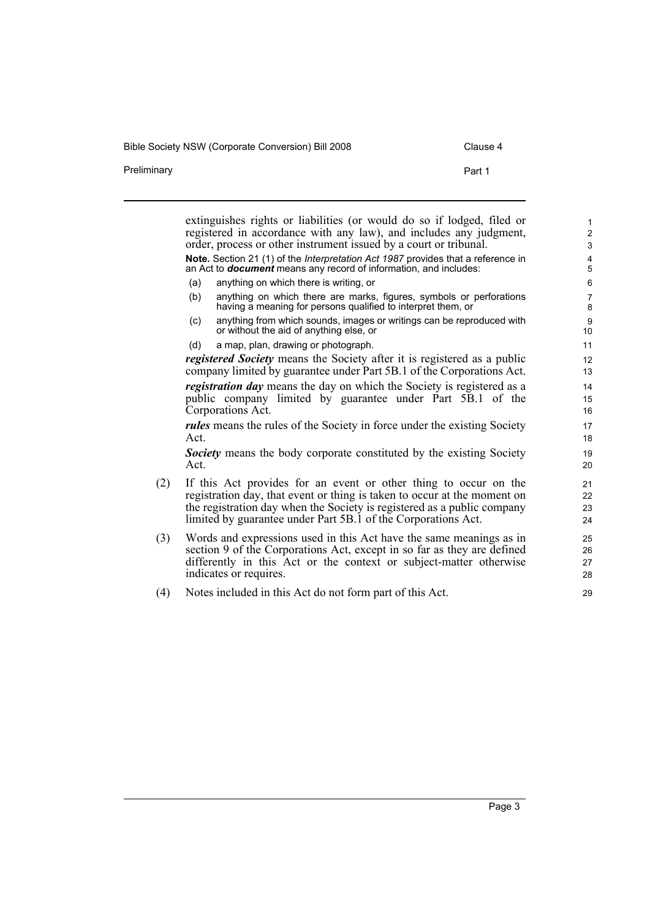Bible Society NSW (Corporate Conversion) Bill 2008 Clause 4

| Preliminary | Part 1                                                                                                                                                                                                            |
|-------------|-------------------------------------------------------------------------------------------------------------------------------------------------------------------------------------------------------------------|
|             |                                                                                                                                                                                                                   |
|             | extinguishes rights or liabilities (or would do so if lodged, filed or<br>registered in accordance with any law), and includes any judgment,<br>order, process or other instrument issued by a court or tribunal. |
|             | Note Section 21 (1) of the Interpretation Act 1987 provides that a reference in                                                                                                                                   |

**Note.** Section 21 (1) of the *Interpretation Act 1987* provides that a reference in an Act to *document* means any record of information, and includes:

- (a) anything on which there is writing, or
- (b) anything on which there are marks, figures, symbols or perforations having a meaning for persons qualified to interpret them, or
- (c) anything from which sounds, images or writings can be reproduced with or without the aid of anything else, or
- (d) a map, plan, drawing or photograph.

*registered Society* means the Society after it is registered as a public company limited by guarantee under Part 5B.1 of the Corporations Act. *registration day* means the day on which the Society is registered as a public company limited by guarantee under Part 5B.1 of the Corporations Act.

*rules* means the rules of the Society in force under the existing Society Act.

*Society* means the body corporate constituted by the existing Society Act.

- (2) If this Act provides for an event or other thing to occur on the registration day, that event or thing is taken to occur at the moment on the registration day when the Society is registered as a public company limited by guarantee under Part 5B.1 of the Corporations Act.
- (3) Words and expressions used in this Act have the same meanings as in section 9 of the Corporations Act, except in so far as they are defined differently in this Act or the context or subject-matter otherwise indicates or requires.
- (4) Notes included in this Act do not form part of this Act.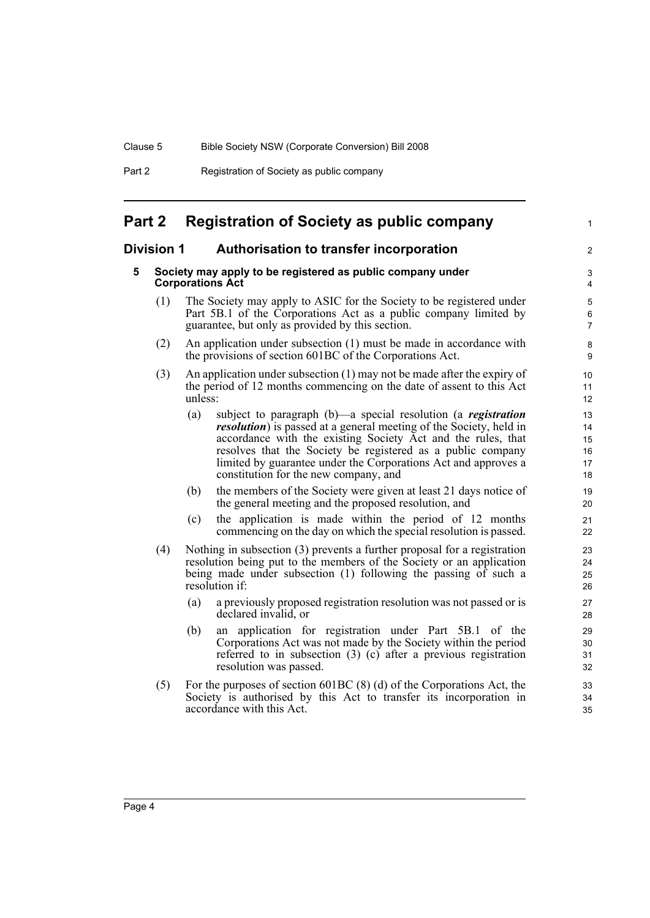| Part 2 | Registration of Society as public company |
|--------|-------------------------------------------|
|--------|-------------------------------------------|

# <span id="page-9-0"></span>**Part 2 Registration of Society as public company**

### <span id="page-9-2"></span><span id="page-9-1"></span>**Division 1 Authorisation to transfer incorporation**

### **5 Society may apply to be registered as public company under Corporations Act**

(1) The Society may apply to ASIC for the Society to be registered under Part 5B.1 of the Corporations Act as a public company limited by guarantee, but only as provided by this section.

1

 $\overline{2}$ 

- (2) An application under subsection (1) must be made in accordance with the provisions of section 601BC of the Corporations Act.
- (3) An application under subsection (1) may not be made after the expiry of the period of 12 months commencing on the date of assent to this Act unless:
	- (a) subject to paragraph (b)—a special resolution (a *registration resolution*) is passed at a general meeting of the Society, held in accordance with the existing Society Act and the rules, that resolves that the Society be registered as a public company limited by guarantee under the Corporations Act and approves a constitution for the new company, and
	- (b) the members of the Society were given at least 21 days notice of the general meeting and the proposed resolution, and
	- (c) the application is made within the period of 12 months commencing on the day on which the special resolution is passed.
- (4) Nothing in subsection (3) prevents a further proposal for a registration resolution being put to the members of the Society or an application being made under subsection (1) following the passing of such a resolution if:
	- (a) a previously proposed registration resolution was not passed or is declared invalid, or
	- (b) an application for registration under Part 5B.1 of the Corporations Act was not made by the Society within the period referred to in subsection (3) (c) after a previous registration resolution was passed.
- (5) For the purposes of section 601BC (8) (d) of the Corporations Act, the Society is authorised by this Act to transfer its incorporation in accordance with this Act.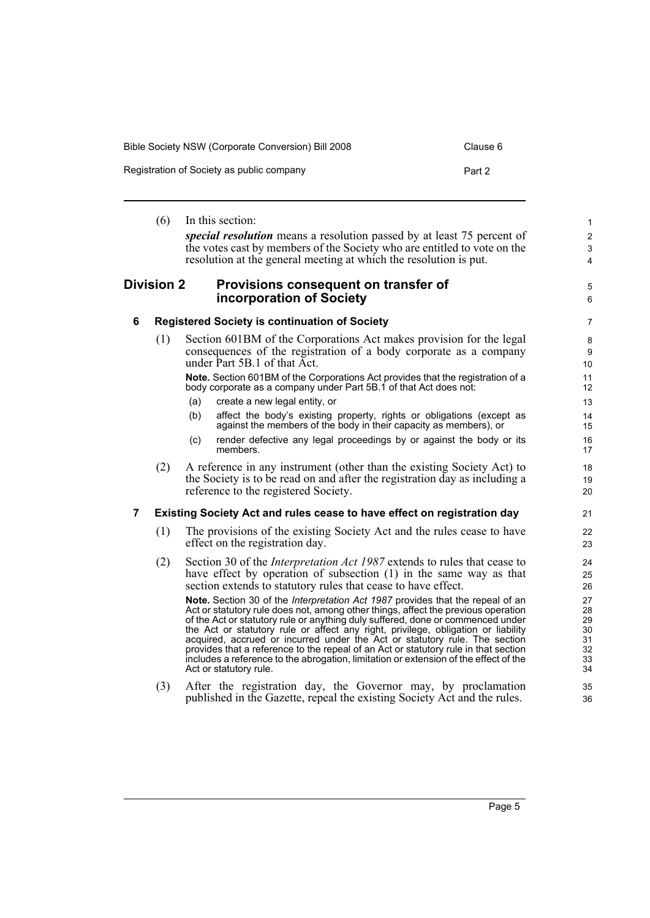| Bible Society NSW (Corporate Conversion) Bill 2008 | Clause 6 |
|----------------------------------------------------|----------|
| Registration of Society as public company          | Part 2   |

<span id="page-10-1"></span><span id="page-10-0"></span>(6) In this section: *special resolution* means a resolution passed by at least 75 percent of the votes cast by members of the Society who are entitled to vote on the resolution at the general meeting at which the resolution is put. **Division 2 Provisions consequent on transfer of incorporation of Society 6 Registered Society is continuation of Society** (1) Section 601BM of the Corporations Act makes provision for the legal consequences of the registration of a body corporate as a company under Part 5B.1 of that Act. **Note.** Section 601BM of the Corporations Act provides that the registration of a body corporate as a company under Part 5B.1 of that Act does not: (a) create a new legal entity, or (b) affect the body's existing property, rights or obligations (except as against the members of the body in their capacity as members), or (c) render defective any legal proceedings by or against the body or its members. (2) A reference in any instrument (other than the existing Society Act) to the Society is to be read on and after the registration day as including a reference to the registered Society. **7 Existing Society Act and rules cease to have effect on registration day** (1) The provisions of the existing Society Act and the rules cease to have effect on the registration day. (2) Section 30 of the *Interpretation Act 1987* extends to rules that cease to have effect by operation of subsection (1) in the same way as that section extends to statutory rules that cease to have effect. **Note.** Section 30 of the *Interpretation Act 1987* provides that the repeal of an Act or statutory rule does not, among other things, affect the previous operation of the Act or statutory rule or anything duly suffered, done or commenced under the Act or statutory rule or affect any right, privilege, obligation or liability acquired, accrued or incurred under the Act or statutory rule. The section provides that a reference to the repeal of an Act or statutory rule in that section includes a reference to the abrogation, limitation or extension of the effect of the Act or statutory rule. (3) After the registration day, the Governor may, by proclamation 1  $\overline{2}$ 3 4 5 6 7 8 9 10 11 12 13 14 15 16 17 18 19  $20$ 21 22 23 24 25 26 27 28 29 30 31 32 33 34 35

<span id="page-10-2"></span>published in the Gazette, repeal the existing Society Act and the rules.

36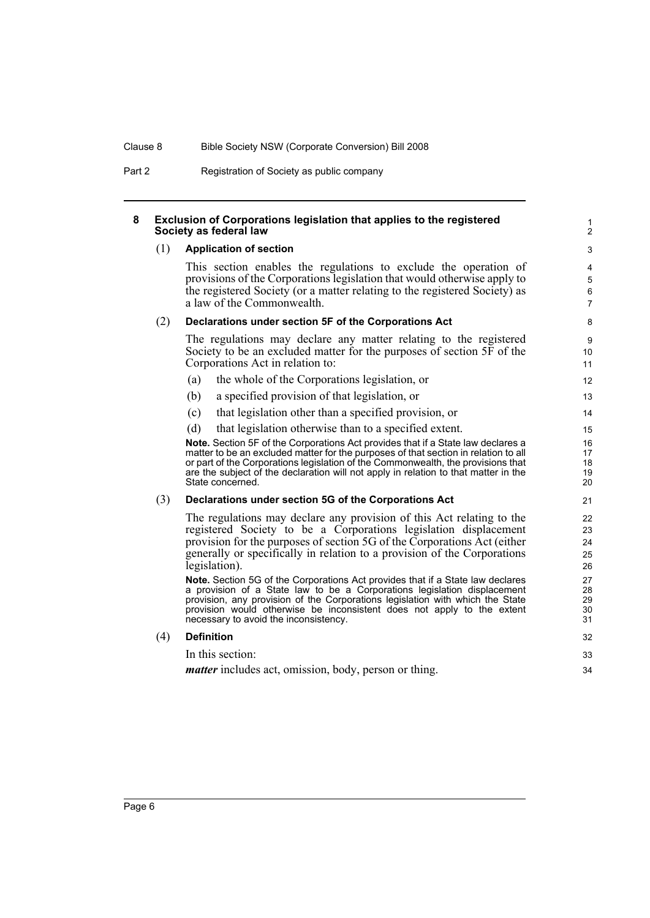Part 2 Registration of Society as public company

### <span id="page-11-0"></span>**8 Exclusion of Corporations legislation that applies to the registered Society as federal law**

### (1) **Application of section**

This section enables the regulations to exclude the operation of provisions of the Corporations legislation that would otherwise apply to the registered Society (or a matter relating to the registered Society) as a law of the Commonwealth.

### (2) **Declarations under section 5F of the Corporations Act**

The regulations may declare any matter relating to the registered Society to be an excluded matter for the purposes of section 5F of the Corporations Act in relation to:

- (a) the whole of the Corporations legislation, or
- (b) a specified provision of that legislation, or
- (c) that legislation other than a specified provision, or
- (d) that legislation otherwise than to a specified extent.

**Note.** Section 5F of the Corporations Act provides that if a State law declares a matter to be an excluded matter for the purposes of that section in relation to all or part of the Corporations legislation of the Commonwealth, the provisions that are the subject of the declaration will not apply in relation to that matter in the State concerned.

### (3) **Declarations under section 5G of the Corporations Act**

The regulations may declare any provision of this Act relating to the registered Society to be a Corporations legislation displacement provision for the purposes of section 5G of the Corporations Act (either generally or specifically in relation to a provision of the Corporations legislation).

**Note.** Section 5G of the Corporations Act provides that if a State law declares a provision of a State law to be a Corporations legislation displacement provision, any provision of the Corporations legislation with which the State provision would otherwise be inconsistent does not apply to the extent necessary to avoid the inconsistency.

| (4)<br><b>Definition</b> |  |
|--------------------------|--|
|--------------------------|--|

In this section:

*matter* includes act, omission, body, person or thing.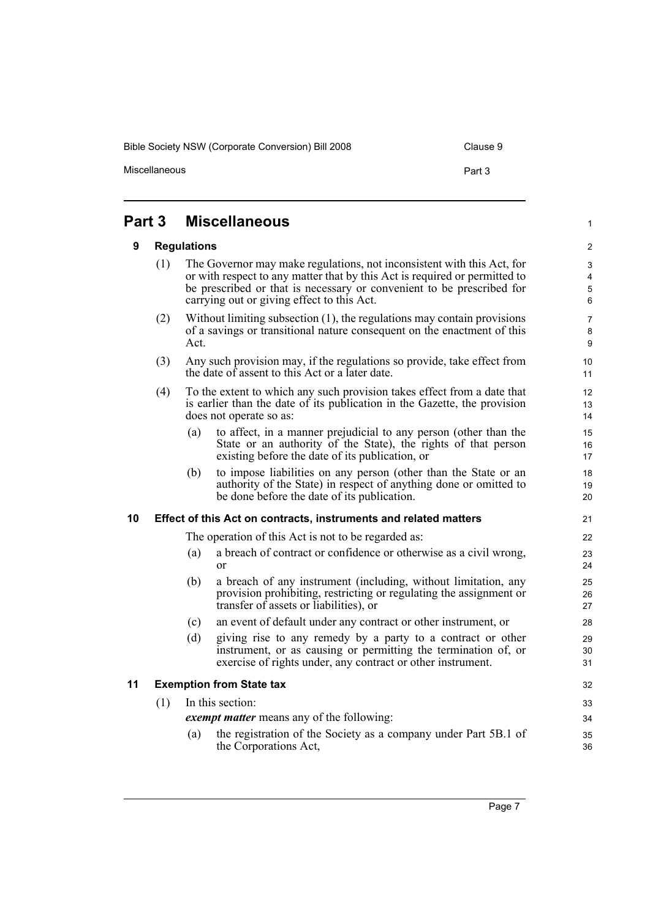Bible Society NSW (Corporate Conversion) Bill 2008 Clause 9

Miscellaneous

1

32

## <span id="page-12-1"></span><span id="page-12-0"></span>**Part 3 Miscellaneous**

### **9 Regulations**

- (1) The Governor may make regulations, not inconsistent with this Act, for or with respect to any matter that by this Act is required or permitted to be prescribed or that is necessary or convenient to be prescribed for carrying out or giving effect to this Act. (2) Without limiting subsection (1), the regulations may contain provisions
- of a savings or transitional nature consequent on the enactment of this Act.
- (3) Any such provision may, if the regulations so provide, take effect from the date of assent to this Act or a later date.
- (4) To the extent to which any such provision takes effect from a date that is earlier than the date of its publication in the Gazette, the provision does not operate so as:
	- (a) to affect, in a manner prejudicial to any person (other than the State or an authority of the State), the rights of that person existing before the date of its publication, or
	- (b) to impose liabilities on any person (other than the State or an authority of the State) in respect of anything done or omitted to be done before the date of its publication.

### <span id="page-12-2"></span>**10 Effect of this Act on contracts, instruments and related matters**

The operation of this Act is not to be regarded as:

- (a) a breach of contract or confidence or otherwise as a civil wrong, or
- (b) a breach of any instrument (including, without limitation, any provision prohibiting, restricting or regulating the assignment or transfer of assets or liabilities), or
- (c) an event of default under any contract or other instrument, or
- (d) giving rise to any remedy by a party to a contract or other instrument, or as causing or permitting the termination of, or exercise of rights under, any contract or other instrument.

### <span id="page-12-3"></span>**11 Exemption from State tax**

(1) In this section: *exempt matter* means any of the following: (a) the registration of the Society as a company under Part 5B.1 of the Corporations Act, 33 34 35 36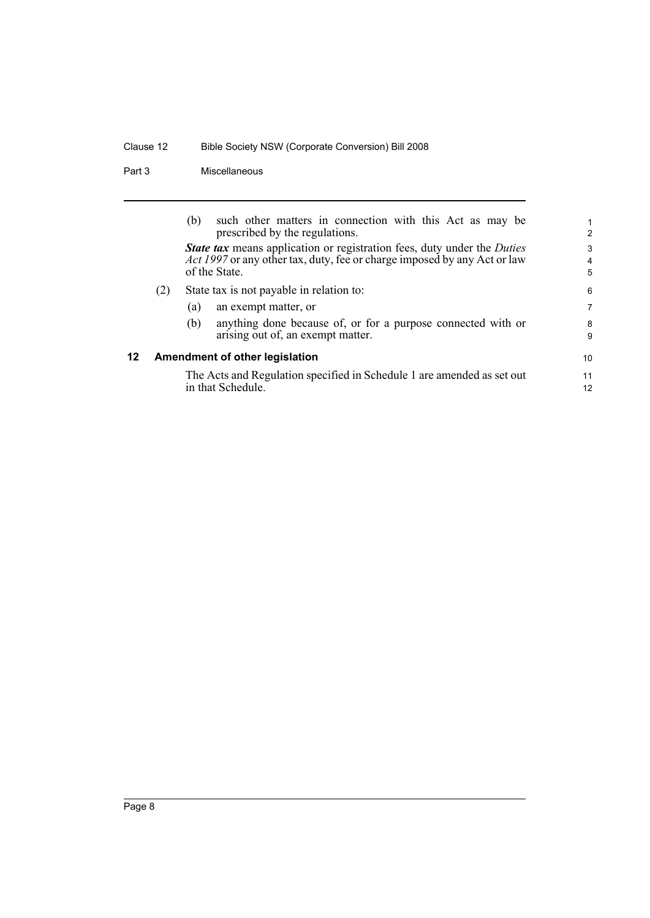# Clause 12 Bible Society NSW (Corporate Conversion) Bill 2008

### Part 3 Miscellaneous

<span id="page-13-0"></span>

|    |                                | such other matters in connection with this Act as may be<br>(b)<br>prescribed by the regulations.                                                                                         | 1<br>$\overline{2}$      |  |  |  |
|----|--------------------------------|-------------------------------------------------------------------------------------------------------------------------------------------------------------------------------------------|--------------------------|--|--|--|
|    |                                | <b>State tax</b> means application or registration fees, duty under the <i>Duties</i><br><i>Act 1997</i> or any other tax, duty, fee or charge imposed by any Act or law<br>of the State. | 3<br>$\overline{4}$<br>5 |  |  |  |
|    | (2)                            | State tax is not payable in relation to:                                                                                                                                                  | 6                        |  |  |  |
|    |                                | an exempt matter, or<br>(a)                                                                                                                                                               | 7                        |  |  |  |
|    |                                | anything done because of, or for a purpose connected with or<br>(b)<br>arising out of, an exempt matter.                                                                                  | 8<br>9                   |  |  |  |
| 12 | Amendment of other legislation |                                                                                                                                                                                           |                          |  |  |  |
|    |                                | The Acts and Regulation specified in Schedule 1 are amended as set out<br>in that Schedule.                                                                                               | 11<br>12                 |  |  |  |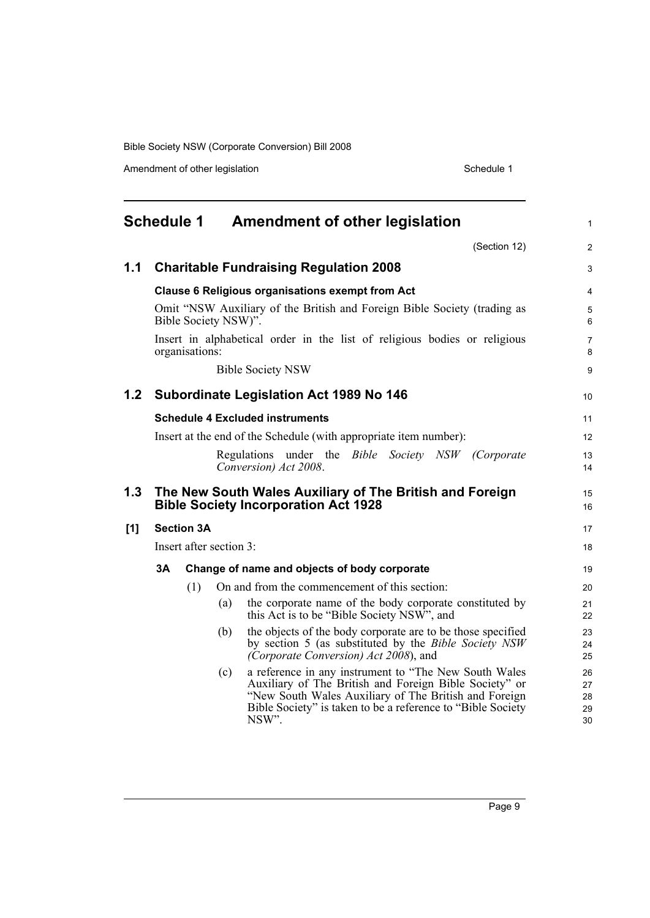Amendment of other legislation Schedule 1

<span id="page-14-0"></span>

|     |    | Schedule 1        |                         | <b>Amendment of other legislation</b>                                                                                                                                                                                                              | $\mathbf{1}$               |
|-----|----|-------------------|-------------------------|----------------------------------------------------------------------------------------------------------------------------------------------------------------------------------------------------------------------------------------------------|----------------------------|
|     |    |                   |                         | (Section 12)                                                                                                                                                                                                                                       | $\overline{2}$             |
| 1.1 |    |                   |                         | <b>Charitable Fundraising Regulation 2008</b>                                                                                                                                                                                                      | 3                          |
|     |    |                   |                         | <b>Clause 6 Religious organisations exempt from Act</b>                                                                                                                                                                                            | $\overline{4}$             |
|     |    |                   | Bible Society NSW)".    | Omit "NSW Auxiliary of the British and Foreign Bible Society (trading as                                                                                                                                                                           | 5<br>6                     |
|     |    | organisations:    |                         | Insert in alphabetical order in the list of religious bodies or religious                                                                                                                                                                          | $\overline{7}$<br>8        |
|     |    |                   |                         | <b>Bible Society NSW</b>                                                                                                                                                                                                                           | 9                          |
| 1.2 |    |                   |                         | <b>Subordinate Legislation Act 1989 No 146</b>                                                                                                                                                                                                     | 10                         |
|     |    |                   |                         | <b>Schedule 4 Excluded instruments</b>                                                                                                                                                                                                             | 11                         |
|     |    |                   |                         | Insert at the end of the Schedule (with appropriate item number):                                                                                                                                                                                  | 12                         |
|     |    |                   |                         | Regulations under the <i>Bible Society NSW (Corporate</i><br>Conversion) Act 2008.                                                                                                                                                                 | 13<br>14                   |
| 1.3 |    |                   |                         | The New South Wales Auxiliary of The British and Foreign<br><b>Bible Society Incorporation Act 1928</b>                                                                                                                                            | 15<br>16                   |
| [1] |    | <b>Section 3A</b> |                         |                                                                                                                                                                                                                                                    | 17                         |
|     |    |                   | Insert after section 3: |                                                                                                                                                                                                                                                    | 18                         |
|     | 3Α |                   |                         | Change of name and objects of body corporate                                                                                                                                                                                                       | 19                         |
|     |    | (1)               |                         | On and from the commencement of this section:                                                                                                                                                                                                      | 20                         |
|     |    |                   | (a)                     | the corporate name of the body corporate constituted by<br>this Act is to be "Bible Society NSW", and                                                                                                                                              | 21<br>22                   |
|     |    |                   | (b)                     | the objects of the body corporate are to be those specified<br>by section 5 (as substituted by the <i>Bible Society NSW</i><br>(Corporate Conversion) Act 2008), and                                                                               | 23<br>24<br>25             |
|     |    |                   | (c)                     | a reference in any instrument to "The New South Wales"<br>Auxiliary of The British and Foreign Bible Society" or<br>"New South Wales Auxiliary of The British and Foreign<br>Bible Society" is taken to be a reference to "Bible Society"<br>NSW". | 26<br>27<br>28<br>29<br>30 |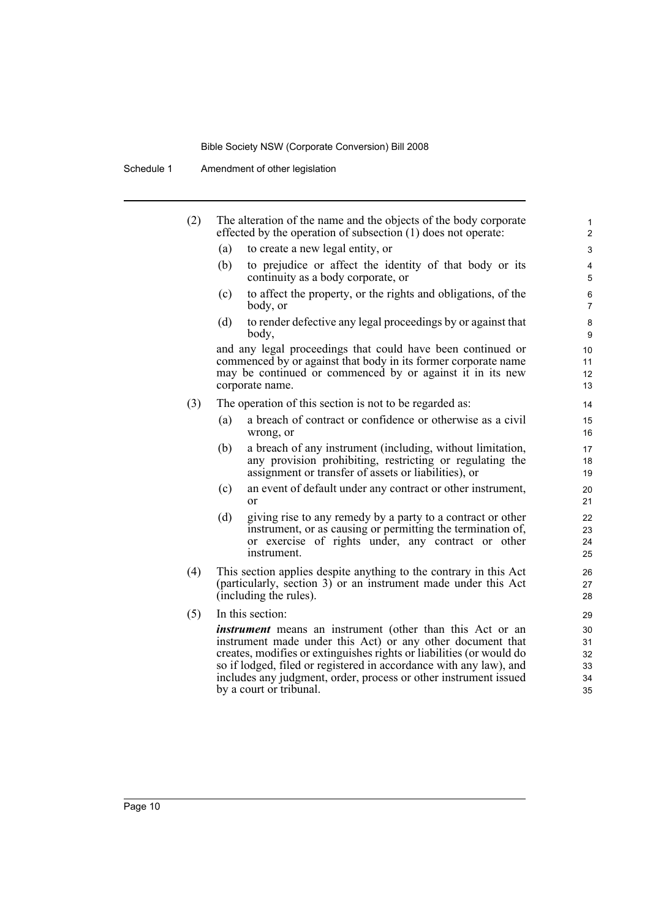Schedule 1 Amendment of other legislation

| (2) |     | The alteration of the name and the objects of the body corporate<br>effected by the operation of subsection (1) does not operate:                                                                                                                                                                                                                                           | 1<br>$\overline{2}$              |
|-----|-----|-----------------------------------------------------------------------------------------------------------------------------------------------------------------------------------------------------------------------------------------------------------------------------------------------------------------------------------------------------------------------------|----------------------------------|
|     | (a) | to create a new legal entity, or                                                                                                                                                                                                                                                                                                                                            | 3                                |
|     | (b) | to prejudice or affect the identity of that body or its<br>continuity as a body corporate, or                                                                                                                                                                                                                                                                               | $\overline{\mathbf{4}}$<br>5     |
|     | (c) | to affect the property, or the rights and obligations, of the<br>body, or                                                                                                                                                                                                                                                                                                   | 6<br>$\overline{7}$              |
|     | (d) | to render defective any legal proceedings by or against that<br>body,                                                                                                                                                                                                                                                                                                       | 8<br>9                           |
|     |     | and any legal proceedings that could have been continued or<br>commenced by or against that body in its former corporate name<br>may be continued or commenced by or against it in its new<br>corporate name.                                                                                                                                                               | 10<br>11<br>12<br>13             |
| (3) |     | The operation of this section is not to be regarded as:                                                                                                                                                                                                                                                                                                                     | 14                               |
|     | (a) | a breach of contract or confidence or otherwise as a civil<br>wrong, or                                                                                                                                                                                                                                                                                                     | 15<br>16                         |
|     | (b) | a breach of any instrument (including, without limitation,<br>any provision prohibiting, restricting or regulating the<br>assignment or transfer of assets or liabilities), or                                                                                                                                                                                              | 17<br>18<br>19                   |
|     | (c) | an event of default under any contract or other instrument,<br>or                                                                                                                                                                                                                                                                                                           | 20<br>21                         |
|     | (d) | giving rise to any remedy by a party to a contract or other<br>instrument, or as causing or permitting the termination of,<br>or exercise of rights under, any contract or other<br>instrument.                                                                                                                                                                             | 22<br>23<br>24<br>25             |
| (4) |     | This section applies despite anything to the contrary in this Act<br>(particularly, section 3) or an instrument made under this Act<br>(including the rules).                                                                                                                                                                                                               | 26<br>27<br>28                   |
| (5) |     | In this section:                                                                                                                                                                                                                                                                                                                                                            | 29                               |
|     |     | <i>instrument</i> means an instrument (other than this Act or an<br>instrument made under this Act) or any other document that<br>creates, modifies or extinguishes rights or liabilities (or would do<br>so if lodged, filed or registered in accordance with any law), and<br>includes any judgment, order, process or other instrument issued<br>by a court or tribunal. | 30<br>31<br>32<br>33<br>34<br>35 |